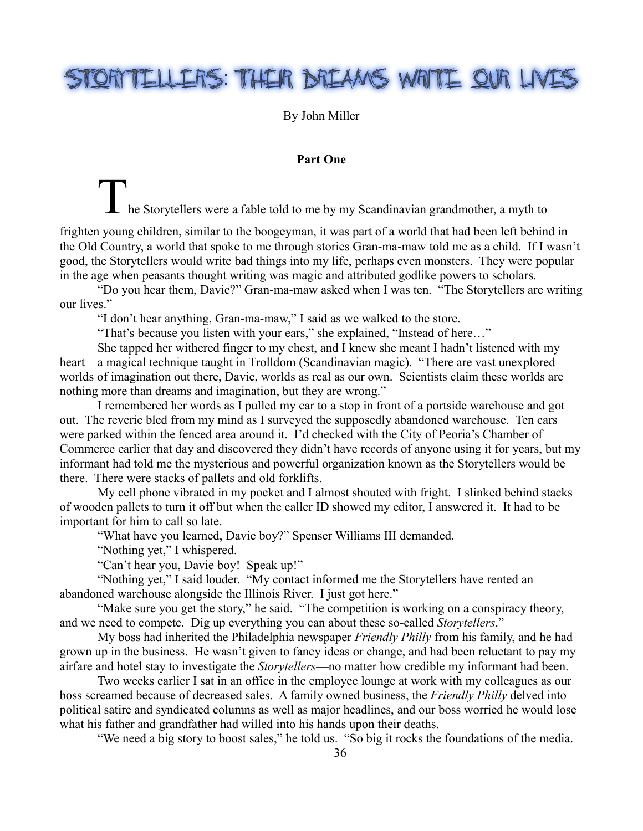## STORITELLERS: THEIR DREAMS WRITE OUR LIVES

By John Miller

## **Part One**

the Storytellers were a fable told to me by my Scandinavian grandmother, a myth to

frighten young children, similar to the boogeyman, it was part of a world that had been left behind in the Old Country, a world that spoke to me through stories Gran-ma-maw told me as a child. If I wasn't good, the Storytellers would write bad things into my life, perhaps even monsters. They were popular in the age when peasants thought writing was magic and attributed godlike powers to scholars.

"Do you hear them, Davie?" Gran-ma-maw asked when I was ten. "The Storytellers are writing our lives."

"I don't hear anything, Gran-ma-maw," I said as we walked to the store.

"That's because you listen with your ears," she explained, "Instead of here…"

She tapped her withered finger to my chest, and I knew she meant I hadn't listened with my heart—a magical technique taught in Trolldom (Scandinavian magic). "There are vast unexplored worlds of imagination out there, Davie, worlds as real as our own. Scientists claim these worlds are nothing more than dreams and imagination, but they are wrong."

I remembered her words as I pulled my car to a stop in front of a portside warehouse and got out. The reverie bled from my mind as I surveyed the supposedly abandoned warehouse. Ten cars were parked within the fenced area around it. I'd checked with the City of Peoria's Chamber of Commerce earlier that day and discovered they didn't have records of anyone using it for years, but my informant had told me the mysterious and powerful organization known as the Storytellers would be there. There were stacks of pallets and old forklifts.

My cell phone vibrated in my pocket and I almost shouted with fright. I slinked behind stacks of wooden pallets to turn it off but when the caller ID showed my editor, I answered it. It had to be important for him to call so late.

"What have you learned, Davie boy?" Spenser Williams III demanded.

"Nothing yet," I whispered.

"Can't hear you, Davie boy! Speak up!"

"Nothing yet," I said louder. "My contact informed me the Storytellers have rented an abandoned warehouse alongside the Illinois River. I just got here."

"Make sure you get the story," he said. "The competition is working on a conspiracy theory, and we need to compete. Dig up everything you can about these so-called *Storytellers*."

My boss had inherited the Philadelphia newspaper *Friendly Philly* from his family, and he had grown up in the business. He wasn't given to fancy ideas or change, and had been reluctant to pay my airfare and hotel stay to investigate the *Storytellers*—no matter how credible my informant had been.

Two weeks earlier I sat in an office in the employee lounge at work with my colleagues as our boss screamed because of decreased sales. A family owned business, the *Friendly Philly* delved into political satire and syndicated columns as well as major headlines, and our boss worried he would lose what his father and grandfather had willed into his hands upon their deaths.

"We need a big story to boost sales," he told us. "So big it rocks the foundations of the media.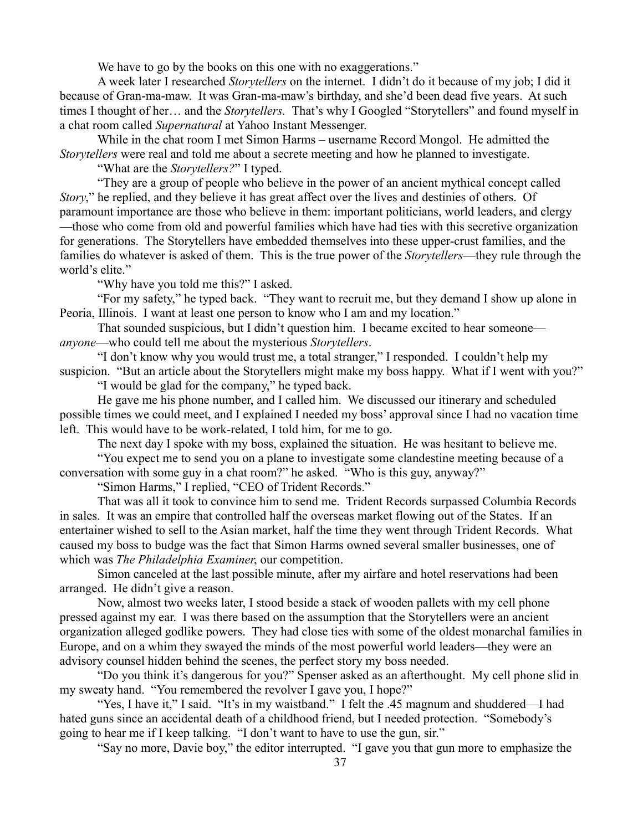We have to go by the books on this one with no exaggerations."

A week later I researched *Storytellers* on the internet. I didn't do it because of my job; I did it because of Gran-ma-maw. It was Gran-ma-maw's birthday, and she'd been dead five years. At such times I thought of her… and the *Storytellers.* That's why I Googled "Storytellers" and found myself in a chat room called *Supernatural* at Yahoo Instant Messenger.

While in the chat room I met Simon Harms – username Record Mongol. He admitted the *Storytellers* were real and told me about a secrete meeting and how he planned to investigate.

"What are the *Storytellers?*" I typed.

"They are a group of people who believe in the power of an ancient mythical concept called *Story*," he replied, and they believe it has great affect over the lives and destinies of others. Of paramount importance are those who believe in them: important politicians, world leaders, and clergy —those who come from old and powerful families which have had ties with this secretive organization for generations. The Storytellers have embedded themselves into these upper-crust families, and the families do whatever is asked of them. This is the true power of the *Storytellers*—they rule through the world's elite."

"Why have you told me this?" I asked.

"For my safety," he typed back. "They want to recruit me, but they demand I show up alone in Peoria, Illinois. I want at least one person to know who I am and my location."

That sounded suspicious, but I didn't question him. I became excited to hear someone *anyone*—who could tell me about the mysterious *Storytellers*.

"I don't know why you would trust me, a total stranger," I responded. I couldn't help my suspicion. "But an article about the Storytellers might make my boss happy. What if I went with you?"

"I would be glad for the company," he typed back.

He gave me his phone number, and I called him. We discussed our itinerary and scheduled possible times we could meet, and I explained I needed my boss' approval since I had no vacation time left. This would have to be work-related, I told him, for me to go.

The next day I spoke with my boss, explained the situation. He was hesitant to believe me.

"You expect me to send you on a plane to investigate some clandestine meeting because of a conversation with some guy in a chat room?" he asked. "Who is this guy, anyway?"

"Simon Harms," I replied, "CEO of Trident Records."

That was all it took to convince him to send me. Trident Records surpassed Columbia Records in sales. It was an empire that controlled half the overseas market flowing out of the States. If an entertainer wished to sell to the Asian market, half the time they went through Trident Records. What caused my boss to budge was the fact that Simon Harms owned several smaller businesses, one of which was *The Philadelphia Examiner*, our competition.

Simon canceled at the last possible minute, after my airfare and hotel reservations had been arranged. He didn't give a reason.

Now, almost two weeks later, I stood beside a stack of wooden pallets with my cell phone pressed against my ear. I was there based on the assumption that the Storytellers were an ancient organization alleged godlike powers. They had close ties with some of the oldest monarchal families in Europe, and on a whim they swayed the minds of the most powerful world leaders—they were an advisory counsel hidden behind the scenes, the perfect story my boss needed.

"Do you think it's dangerous for you?" Spenser asked as an afterthought. My cell phone slid in my sweaty hand. "You remembered the revolver I gave you, I hope?"

"Yes, I have it," I said. "It's in my waistband." I felt the .45 magnum and shuddered—I had hated guns since an accidental death of a childhood friend, but I needed protection. "Somebody's going to hear me if I keep talking. "I don't want to have to use the gun, sir."

"Say no more, Davie boy," the editor interrupted. "I gave you that gun more to emphasize the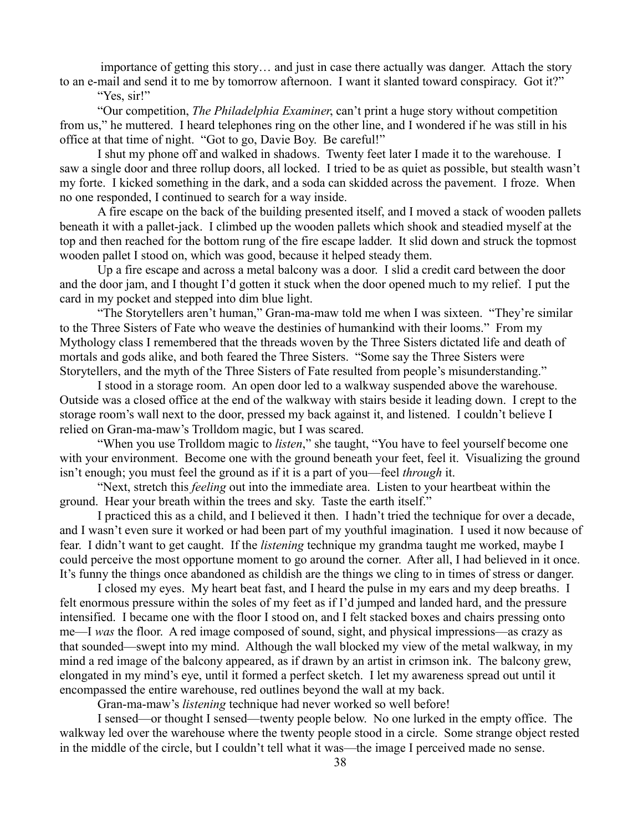importance of getting this story… and just in case there actually was danger. Attach the story to an e-mail and send it to me by tomorrow afternoon. I want it slanted toward conspiracy. Got it?"

"Yes, sir!"

"Our competition, *The Philadelphia Examiner*, can't print a huge story without competition from us," he muttered. I heard telephones ring on the other line, and I wondered if he was still in his office at that time of night. "Got to go, Davie Boy. Be careful!"

I shut my phone off and walked in shadows. Twenty feet later I made it to the warehouse. I saw a single door and three rollup doors, all locked. I tried to be as quiet as possible, but stealth wasn't my forte. I kicked something in the dark, and a soda can skidded across the pavement. I froze. When no one responded, I continued to search for a way inside.

A fire escape on the back of the building presented itself, and I moved a stack of wooden pallets beneath it with a pallet-jack. I climbed up the wooden pallets which shook and steadied myself at the top and then reached for the bottom rung of the fire escape ladder. It slid down and struck the topmost wooden pallet I stood on, which was good, because it helped steady them.

Up a fire escape and across a metal balcony was a door. I slid a credit card between the door and the door jam, and I thought I'd gotten it stuck when the door opened much to my relief. I put the card in my pocket and stepped into dim blue light.

"The Storytellers aren't human," Gran-ma-maw told me when I was sixteen. "They're similar to the Three Sisters of Fate who weave the destinies of humankind with their looms." From my Mythology class I remembered that the threads woven by the Three Sisters dictated life and death of mortals and gods alike, and both feared the Three Sisters. "Some say the Three Sisters were Storytellers, and the myth of the Three Sisters of Fate resulted from people's misunderstanding."

I stood in a storage room. An open door led to a walkway suspended above the warehouse. Outside was a closed office at the end of the walkway with stairs beside it leading down. I crept to the storage room's wall next to the door, pressed my back against it, and listened. I couldn't believe I relied on Gran-ma-maw's Trolldom magic, but I was scared.

"When you use Trolldom magic to *listen*," she taught, "You have to feel yourself become one with your environment. Become one with the ground beneath your feet, feel it. Visualizing the ground isn't enough; you must feel the ground as if it is a part of you—feel *through* it.

"Next, stretch this *feeling* out into the immediate area. Listen to your heartbeat within the ground. Hear your breath within the trees and sky. Taste the earth itself."

I practiced this as a child, and I believed it then. I hadn't tried the technique for over a decade, and I wasn't even sure it worked or had been part of my youthful imagination. I used it now because of fear. I didn't want to get caught. If the *listening* technique my grandma taught me worked, maybe I could perceive the most opportune moment to go around the corner. After all, I had believed in it once. It's funny the things once abandoned as childish are the things we cling to in times of stress or danger.

I closed my eyes. My heart beat fast, and I heard the pulse in my ears and my deep breaths. I felt enormous pressure within the soles of my feet as if I'd jumped and landed hard, and the pressure intensified. I became one with the floor I stood on, and I felt stacked boxes and chairs pressing onto me—I *was* the floor. A red image composed of sound, sight, and physical impressions—as crazy as that sounded—swept into my mind. Although the wall blocked my view of the metal walkway, in my mind a red image of the balcony appeared, as if drawn by an artist in crimson ink. The balcony grew, elongated in my mind's eye, until it formed a perfect sketch. I let my awareness spread out until it encompassed the entire warehouse, red outlines beyond the wall at my back.

Gran-ma-maw's *listening* technique had never worked so well before!

I sensed—or thought I sensed—twenty people below. No one lurked in the empty office. The walkway led over the warehouse where the twenty people stood in a circle. Some strange object rested in the middle of the circle, but I couldn't tell what it was—the image I perceived made no sense.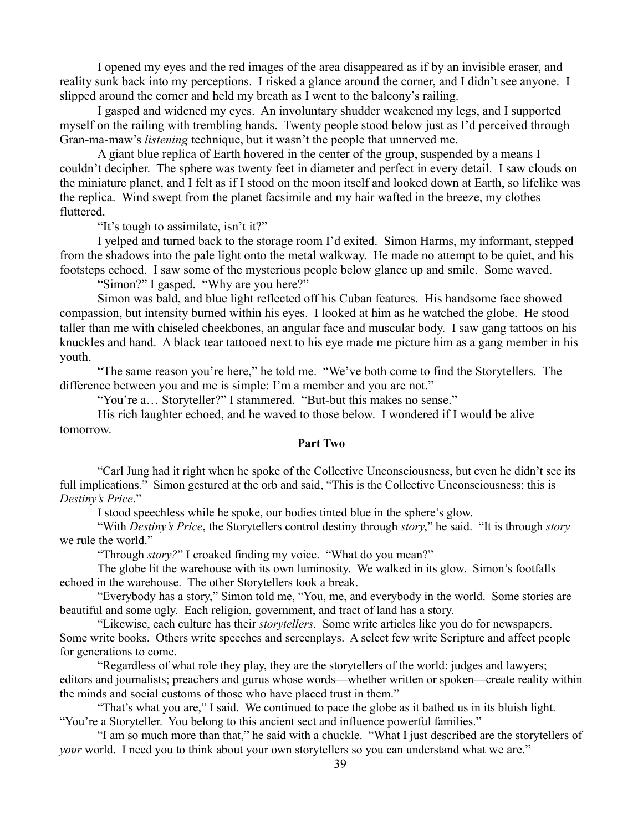I opened my eyes and the red images of the area disappeared as if by an invisible eraser, and reality sunk back into my perceptions. I risked a glance around the corner, and I didn't see anyone. I slipped around the corner and held my breath as I went to the balcony's railing.

I gasped and widened my eyes. An involuntary shudder weakened my legs, and I supported myself on the railing with trembling hands. Twenty people stood below just as I'd perceived through Gran-ma-maw's *listening* technique, but it wasn't the people that unnerved me.

A giant blue replica of Earth hovered in the center of the group, suspended by a means I couldn't decipher. The sphere was twenty feet in diameter and perfect in every detail. I saw clouds on the miniature planet, and I felt as if I stood on the moon itself and looked down at Earth, so lifelike was the replica. Wind swept from the planet facsimile and my hair wafted in the breeze, my clothes fluttered.

"It's tough to assimilate, isn't it?"

I yelped and turned back to the storage room I'd exited. Simon Harms, my informant, stepped from the shadows into the pale light onto the metal walkway. He made no attempt to be quiet, and his footsteps echoed. I saw some of the mysterious people below glance up and smile. Some waved.

"Simon?" I gasped. "Why are you here?"

Simon was bald, and blue light reflected off his Cuban features. His handsome face showed compassion, but intensity burned within his eyes. I looked at him as he watched the globe. He stood taller than me with chiseled cheekbones, an angular face and muscular body. I saw gang tattoos on his knuckles and hand. A black tear tattooed next to his eye made me picture him as a gang member in his youth.

"The same reason you're here," he told me. "We've both come to find the Storytellers. The difference between you and me is simple: I'm a member and you are not."

"You're a… Storyteller?" I stammered. "But-but this makes no sense."

His rich laughter echoed, and he waved to those below. I wondered if I would be alive tomorrow.

## **Part Two**

"Carl Jung had it right when he spoke of the Collective Unconsciousness, but even he didn't see its full implications." Simon gestured at the orb and said, "This is the Collective Unconsciousness; this is *Destiny's Price*."

I stood speechless while he spoke, our bodies tinted blue in the sphere's glow.

"With *Destiny's Price*, the Storytellers control destiny through *story*," he said. "It is through *story* we rule the world."

"Through *story?*" I croaked finding my voice. "What do you mean?"

The globe lit the warehouse with its own luminosity. We walked in its glow. Simon's footfalls echoed in the warehouse. The other Storytellers took a break.

"Everybody has a story," Simon told me, "You, me, and everybody in the world. Some stories are beautiful and some ugly. Each religion, government, and tract of land has a story.

"Likewise, each culture has their *storytellers*. Some write articles like you do for newspapers. Some write books. Others write speeches and screenplays. A select few write Scripture and affect people for generations to come.

"Regardless of what role they play, they are the storytellers of the world: judges and lawyers; editors and journalists; preachers and gurus whose words—whether written or spoken—create reality within the minds and social customs of those who have placed trust in them."

"That's what you are," I said. We continued to pace the globe as it bathed us in its bluish light. "You're a Storyteller. You belong to this ancient sect and influence powerful families."

"I am so much more than that," he said with a chuckle. "What I just described are the storytellers of *your* world. I need you to think about your own storytellers so you can understand what we are."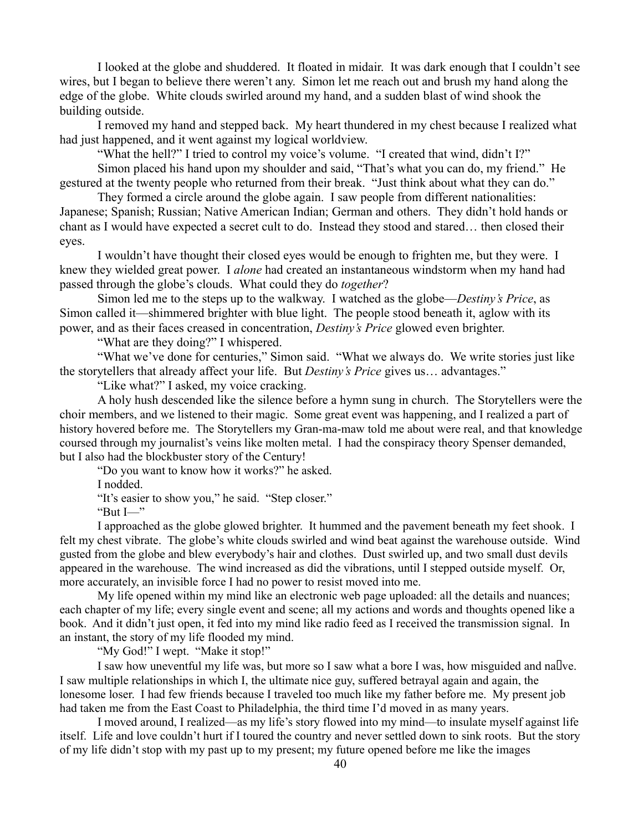I looked at the globe and shuddered. It floated in midair. It was dark enough that I couldn't see wires, but I began to believe there weren't any. Simon let me reach out and brush my hand along the edge of the globe. White clouds swirled around my hand, and a sudden blast of wind shook the building outside.

I removed my hand and stepped back. My heart thundered in my chest because I realized what had just happened, and it went against my logical worldview.

"What the hell?" I tried to control my voice's volume. "I created that wind, didn't I?"

Simon placed his hand upon my shoulder and said, "That's what you can do, my friend." He gestured at the twenty people who returned from their break. "Just think about what they can do."

They formed a circle around the globe again. I saw people from different nationalities: Japanese; Spanish; Russian; Native American Indian; German and others. They didn't hold hands or chant as I would have expected a secret cult to do. Instead they stood and stared… then closed their eyes.

I wouldn't have thought their closed eyes would be enough to frighten me, but they were. I knew they wielded great power. I *alone* had created an instantaneous windstorm when my hand had passed through the globe's clouds. What could they do *together*?

Simon led me to the steps up to the walkway. I watched as the globe—*Destiny's Price*, as Simon called it—shimmered brighter with blue light. The people stood beneath it, aglow with its power, and as their faces creased in concentration, *Destiny's Price* glowed even brighter.

"What are they doing?" I whispered.

"What we've done for centuries," Simon said. "What we always do. We write stories just like the storytellers that already affect your life. But *Destiny's Price* gives us… advantages."

"Like what?" I asked, my voice cracking.

A holy hush descended like the silence before a hymn sung in church. The Storytellers were the choir members, and we listened to their magic. Some great event was happening, and I realized a part of history hovered before me. The Storytellers my Gran-ma-maw told me about were real, and that knowledge coursed through my journalist's veins like molten metal. I had the conspiracy theory Spenser demanded, but I also had the blockbuster story of the Century!

"Do you want to know how it works?" he asked.

I nodded.

"It's easier to show you," he said. "Step closer."

" $But I$ "

I approached as the globe glowed brighter. It hummed and the pavement beneath my feet shook. I felt my chest vibrate. The globe's white clouds swirled and wind beat against the warehouse outside. Wind gusted from the globe and blew everybody's hair and clothes. Dust swirled up, and two small dust devils appeared in the warehouse. The wind increased as did the vibrations, until I stepped outside myself. Or, more accurately, an invisible force I had no power to resist moved into me.

My life opened within my mind like an electronic web page uploaded: all the details and nuances; each chapter of my life; every single event and scene; all my actions and words and thoughts opened like a book. And it didn't just open, it fed into my mind like radio feed as I received the transmission signal. In an instant, the story of my life flooded my mind.

"My God!" I wept. "Make it stop!"

I saw how uneventful my life was, but more so I saw what a bore I was, how misguided and nallve. I saw multiple relationships in which I, the ultimate nice guy, suffered betrayal again and again, the lonesome loser. I had few friends because I traveled too much like my father before me. My present job had taken me from the East Coast to Philadelphia, the third time I'd moved in as many years.

I moved around, I realized—as my life's story flowed into my mind—to insulate myself against life itself. Life and love couldn't hurt if I toured the country and never settled down to sink roots. But the story of my life didn't stop with my past up to my present; my future opened before me like the images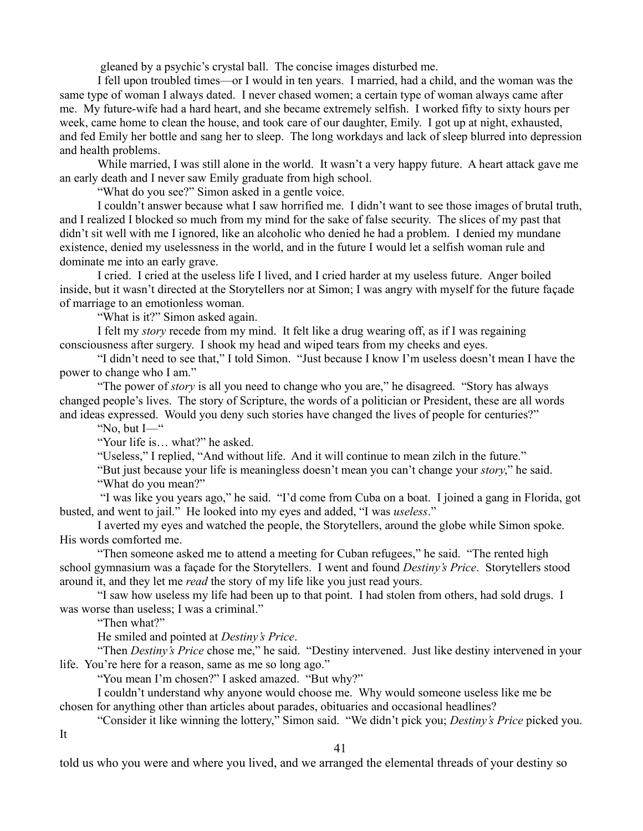gleaned by a psychic's crystal ball. The concise images disturbed me.

I fell upon troubled times—or I would in ten years. I married, had a child, and the woman was the same type of woman I always dated. I never chased women; a certain type of woman always came after me. My future-wife had a hard heart, and she became extremely selfish. I worked fifty to sixty hours per week, came home to clean the house, and took care of our daughter, Emily. I got up at night, exhausted, and fed Emily her bottle and sang her to sleep. The long workdays and lack of sleep blurred into depression and health problems.

While married, I was still alone in the world. It wasn't a very happy future. A heart attack gave me an early death and I never saw Emily graduate from high school.

"What do you see?" Simon asked in a gentle voice.

I couldn't answer because what I saw horrified me. I didn't want to see those images of brutal truth, and I realized I blocked so much from my mind for the sake of false security. The slices of my past that didn't sit well with me I ignored, like an alcoholic who denied he had a problem. I denied my mundane existence, denied my uselessness in the world, and in the future I would let a selfish woman rule and dominate me into an early grave.

I cried. I cried at the useless life I lived, and I cried harder at my useless future. Anger boiled inside, but it wasn't directed at the Storytellers nor at Simon; I was angry with myself for the future façade of marriage to an emotionless woman.

"What is it?" Simon asked again.

I felt my *story* recede from my mind. It felt like a drug wearing off, as if I was regaining consciousness after surgery. I shook my head and wiped tears from my cheeks and eyes.

"I didn't need to see that," I told Simon. "Just because I know I'm useless doesn't mean I have the power to change who I am."

"The power of *story* is all you need to change who you are," he disagreed. "Story has always changed people's lives. The story of Scripture, the words of a politician or President, these are all words and ideas expressed. Would you deny such stories have changed the lives of people for centuries?"

"No, but  $I$ — $"$ 

"Your life is… what?" he asked.

"Useless," I replied, "And without life. And it will continue to mean zilch in the future."

"But just because your life is meaningless doesn't mean you can't change your *story*," he said. "What do you mean?"

 "I was like you years ago," he said. "I'd come from Cuba on a boat. I joined a gang in Florida, got busted, and went to jail." He looked into my eyes and added, "I was *useless*."

I averted my eyes and watched the people, the Storytellers, around the globe while Simon spoke. His words comforted me.

"Then someone asked me to attend a meeting for Cuban refugees," he said. "The rented high school gymnasium was a façade for the Storytellers. I went and found *Destiny's Price*. Storytellers stood around it, and they let me *read* the story of my life like you just read yours.

"I saw how useless my life had been up to that point. I had stolen from others, had sold drugs. I was worse than useless; I was a criminal."

"Then what?"

He smiled and pointed at *Destiny's Price*.

"Then *Destiny's Price* chose me," he said. "Destiny intervened. Just like destiny intervened in your life. You're here for a reason, same as me so long ago."

"You mean I'm chosen?" I asked amazed. "But why?"

I couldn't understand why anyone would choose me. Why would someone useless like me be chosen for anything other than articles about parades, obituaries and occasional headlines?

"Consider it like winning the lottery," Simon said. "We didn't pick you; *Destiny's Price* picked you.

It

41

told us who you were and where you lived, and we arranged the elemental threads of your destiny so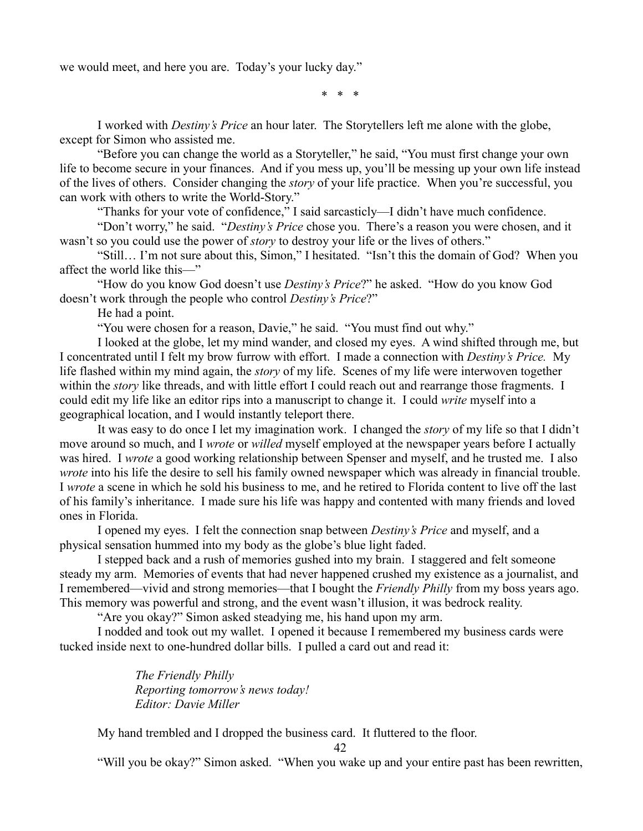we would meet, and here you are. Today's your lucky day."

\* \* \*

I worked with *Destiny's Price* an hour later. The Storytellers left me alone with the globe, except for Simon who assisted me.

"Before you can change the world as a Storyteller," he said, "You must first change your own life to become secure in your finances. And if you mess up, you'll be messing up your own life instead of the lives of others. Consider changing the *story* of your life practice. When you're successful, you can work with others to write the World-Story."

"Thanks for your vote of confidence," I said sarcasticly—I didn't have much confidence.

"Don't worry," he said. "*Destiny's Price* chose you. There's a reason you were chosen, and it wasn't so you could use the power of *story* to destroy your life or the lives of others."

"Still… I'm not sure about this, Simon," I hesitated. "Isn't this the domain of God? When you affect the world like this—"

"How do you know God doesn't use *Destiny's Price*?" he asked. "How do you know God doesn't work through the people who control *Destiny's Price*?"

He had a point.

"You were chosen for a reason, Davie," he said. "You must find out why."

I looked at the globe, let my mind wander, and closed my eyes. A wind shifted through me, but I concentrated until I felt my brow furrow with effort. I made a connection with *Destiny's Price.* My life flashed within my mind again, the *story* of my life. Scenes of my life were interwoven together within the *story* like threads, and with little effort I could reach out and rearrange those fragments. I could edit my life like an editor rips into a manuscript to change it. I could *write* myself into a geographical location, and I would instantly teleport there.

It was easy to do once I let my imagination work. I changed the *story* of my life so that I didn't move around so much, and I *wrote* or *willed* myself employed at the newspaper years before I actually was hired. I *wrote* a good working relationship between Spenser and myself, and he trusted me. I also *wrote* into his life the desire to sell his family owned newspaper which was already in financial trouble. I *wrote* a scene in which he sold his business to me, and he retired to Florida content to live off the last of his family's inheritance. I made sure his life was happy and contented with many friends and loved ones in Florida.

I opened my eyes. I felt the connection snap between *Destiny's Price* and myself, and a physical sensation hummed into my body as the globe's blue light faded.

I stepped back and a rush of memories gushed into my brain. I staggered and felt someone steady my arm. Memories of events that had never happened crushed my existence as a journalist, and I remembered—vivid and strong memories—that I bought the *Friendly Philly* from my boss years ago. This memory was powerful and strong, and the event wasn't illusion, it was bedrock reality.

"Are you okay?" Simon asked steadying me, his hand upon my arm.

I nodded and took out my wallet. I opened it because I remembered my business cards were tucked inside next to one-hundred dollar bills. I pulled a card out and read it:

> *The Friendly Philly Reporting tomorrow's news today! Editor: Davie Miller*

My hand trembled and I dropped the business card. It fluttered to the floor.

42

"Will you be okay?" Simon asked. "When you wake up and your entire past has been rewritten,